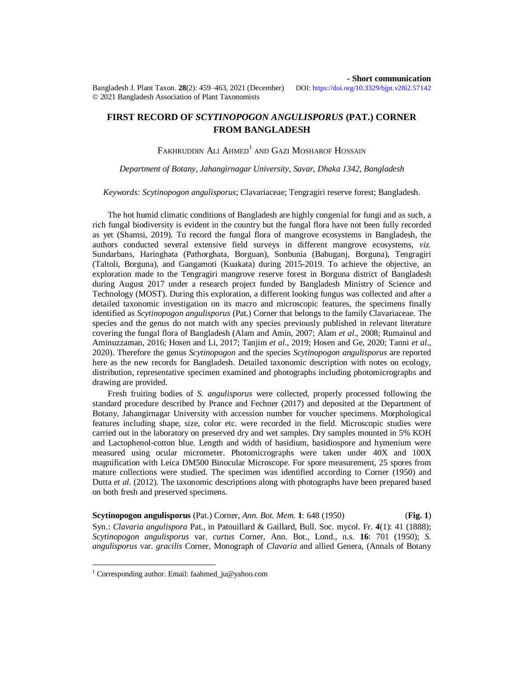Bangladesh J. Plant Taxon. **28**(2): 459–463, 2021 (December) © 2021 Bangladesh Association of Plant Taxonomists

**- Short communication**<br>DOI: https://doi.org/10.3329/bipt.v28i2.57142

## **FIRST RECORD OF** *SCYTINOPOGON ANGULISPORUS* **(PAT.) CORNER FROM BANGLADESH**

# FAKHRUDDIN ALI AHMED $^{\rm l}$  and Gazi Mosharof Hossain

## *Department of Botany, Jahangirnagar University, Savar, Dhaka 1342, Bangladesh*

### *Keywords: Scytinopogon angulisporus*; Clavariaceae; Tengragiri reserve forest; Bangladesh.

The hot humid climatic conditions of Bangladesh are highly congenial for fungi and as such, a rich fungal biodiversity is evident in the country but the fungal flora have not been fully recorded as yet (Shamsi, 2019). To record the fungal flora of mangrove ecosystems in Bangladesh, the authors conducted several extensive field surveys in different mangrove ecosystems, *viz.* Sundarbans, Haringhata (Pathorghata, Borguan), Sonbunia (Babuganj, Borguna), Tengragiri (Taltoli, Borguna), and Gangamoti (Kuakata) during 2015-2019. To achieve the objective, an exploration made to the Tengragiri mangrove reserve forest in Borguna district of Bangladesh during August 2017 under a research project funded by Bangladesh Ministry of Science and Technology (MOST). During this exploration, a different looking fungus was collected and after a detailed taxonomic investigation on its macro and microscopic features, the specimens finally identified as *Scytinopogon angulisporus* (Pat.) Corner that belongs to the family Clavariaceae. The species and the genus do not match with any species previously published in relevant literature covering the fungal flora of Bangladesh (Alam and Amin, 2007; Alam *et al*., 2008; Rumainul and Aminuzzaman, 2016; Hosen and Li, 2017; Tanjim *et al*., 2019; Hosen and Ge, 2020; Tanni *et al*., 2020). Therefore the genus *Scytinopogon* and the species *Scytinopogon angulisporus* are reported here as the new records for Bangladesh. Detailed taxonomic description with notes on ecology, distribution, representative specimen examined and photographs including photomicrographs and drawing are provided.

Fresh fruiting bodies of *S. angulisporus* were collected, properly processed following the standard procedure described by Prance and Fechner (2017) and deposited at the Department of Botany, Jahangirnagar University with accession number for voucher specimens. Morphological features including shape, size, color etc. were recorded in the field. Microscopic studies were carried out in the laboratory on preserved dry and wet samples. Dry samples mounted in 5% KOH and Lactophenol-cotton blue. Length and width of basidium, basidiospore and hymenium were measured using ocular micrometer. Photomicrographs were taken under 40X and 100X magnification with Leica DM500 Binocular Microscope. For spore measurement, 25 spores from mature collections were studied. The specimen was identified according to Corner (1950) and Dutta *et al*. (2012). The taxonomic descriptions along with photographs have been prepared based on both fresh and preserved specimens.

**Scytinopogon angulisporus** (Pat.) Corner, *Ann. Bot. Mem.* **1**: 648 (1950) (**Fig. 1**) Syn.: *Clavaria angulispora* Pat., in Patouillard & Gaillard, Bull. Soc. mycol. Fr. **4**(1): 41 (1888); *Scytinopogon angulisporus* var. *curtus* Corner, Ann. Bot., Lond., n.s. **16**: 701 (1950); *S. angulisporus* var. *gracilis* Corner, Monograph of *Clavaria* and allied Genera, (Annals of Botany

 $\overline{a}$ 

<sup>&</sup>lt;sup>1</sup> Corresponding author. Email: [faahmed\\_ju@yahoo.com](mailto:faahmed_ju@yahoo.com)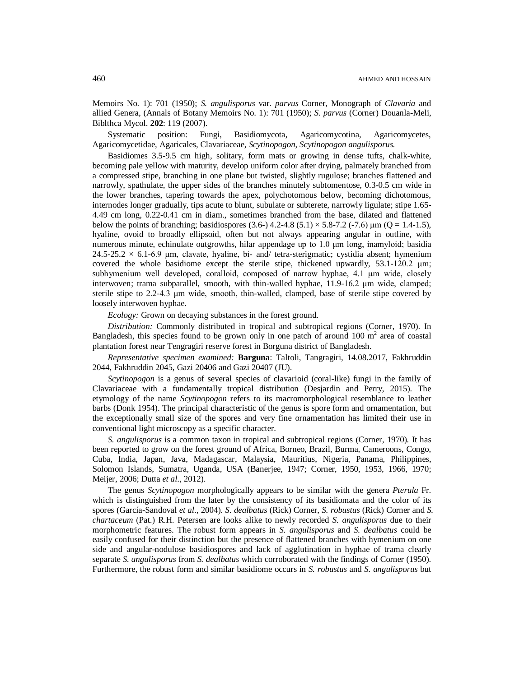Memoirs No. 1): 701 (1950); *S. angulisporus* var. *parvus* Corner, Monograph of *Clavaria* and allied Genera, (Annals of Botany Memoirs No. 1): 701 (1950); *S. parvus* (Corner) Douanla-Meli, Biblthca Mycol. **202**: 119 (2007).

Systematic position: Fungi, Basidiomycota, Agaricomycotina, Agaricomycetes, Agaricomycetidae, Agaricales, Clavariaceae, *Scytinopogon*, *Scytinopogon angulisporus.*

Basidiomes 3.5-9.5 cm high, solitary, form mats or growing in dense tufts, chalk-white, becoming pale yellow with maturity, develop uniform color after drying, palmately branched from a compressed stipe, branching in one plane but twisted, slightly rugulose; branches flattened and narrowly, spathulate, the upper sides of the branches minutely subtomentose, 0.3-0.5 cm wide in the lower branches, tapering towards the apex, polychotomous below, becoming dichotomous, internodes longer gradually, tips acute to blunt, subulate or subterete, narrowly ligulate; stipe 1.65- 4.49 cm long, 0.22-0.41 cm in diam., sometimes branched from the base, dilated and flattened below the points of branching; basidiospores (3.6-) 4.2-4.8 (5.1)  $\times$  5.8-7.2 (-7.6)  $\mu$ m (Q = 1.4-1.5), hyaline, ovoid to broadly ellipsoid, often but not always appearing angular in outline, with numerous minute, echinulate outgrowths, hilar appendage up to 1.0 μm long, inamyloid; basidia  $24.5$ -25.2 × 6.1-6.9 µm, clavate, hyaline, bi- and/ tetra-sterigmatic; cystidia absent; hymenium covered the whole basidiome except the sterile stipe, thickened upwardly,  $53.1-120.2 \mu m$ ; subhymenium well developed, coralloid, composed of narrow hyphae, 4.1 μm wide, closely interwoven; trama subparallel, smooth, with thin-walled hyphae, 11.9-16.2 μm wide, clamped; sterile stipe to 2.2-4.3 μm wide, smooth, thin-walled, clamped, base of sterile stipe covered by loosely interwoven hyphae.

*Ecology:* Grown on decaying substances in the forest ground.

*Distribution:* Commonly distributed in tropical and subtropical regions (Corner, 1970). In Bangladesh, this species found to be grown only in one patch of around 100  $m<sup>2</sup>$  area of coastal plantation forest near Tengragiri reserve forest in Borguna district of Bangladesh.

*Representative specimen examined:* **Barguna**: Taltoli, Tangragiri, 14.08.2017, Fakhruddin 2044, Fakhruddin 2045, Gazi 20406 and Gazi 20407 (JU).

*Scytinopogon* is a genus of several species of clavarioid (coral-like) fungi in the family of Clavariaceae with a fundamentally tropical distribution (Desjardin and Perry, 2015). The etymology of the name *Scytinopogon* refers to its macromorphological resemblance to leather barbs (Donk 1954). The principal characteristic of the genus is spore form and ornamentation, but the exceptionally small size of the spores and very fine ornamentation has limited their use in conventional light microscopy as a specific character.

*S. angulisporus* is a common taxon in tropical and subtropical regions (Corner, 1970). It has been reported to grow on the forest ground of Africa, Borneo, Brazil, Burma, Cameroons, Congo, Cuba, India, Japan, Java, Madagascar, Malaysia, Mauritius, Nigeria, Panama, Philippines, Solomon Islands, Sumatra, Uganda, USA (Banerjee, 1947; Corner, 1950, 1953, 1966, 1970; Meijer, 2006; Dutta *et al*., 2012).

The genus *Scytinopogon* morphologically appears to be similar with the genera *Pterula* Fr. which is distinguished from the later by the consistency of its basidiomata and the color of its spores (García-Sandoval *et al*., 2004). *S. dealbatus* (Rick) Corner, *S. robustus* (Rick) Corner and *S. chartaceum* (Pat.) R.H. Petersen are looks alike to newly recorded *S. angulisporus* due to their morphometric features. The robust form appears in *S. angulisporus* and *S. dealbatus* could be easily confused for their distinction but the presence of flattened branches with hymenium on one side and angular-nodulose basidiospores and lack of agglutination in hyphae of trama clearly separate *S. angulisporus* from *S. dealbatus* which corroborated with the findings of Corner (1950). Furthermore, the robust form and similar basidiome occurs in *S. robustus* and *S. angulisporus* but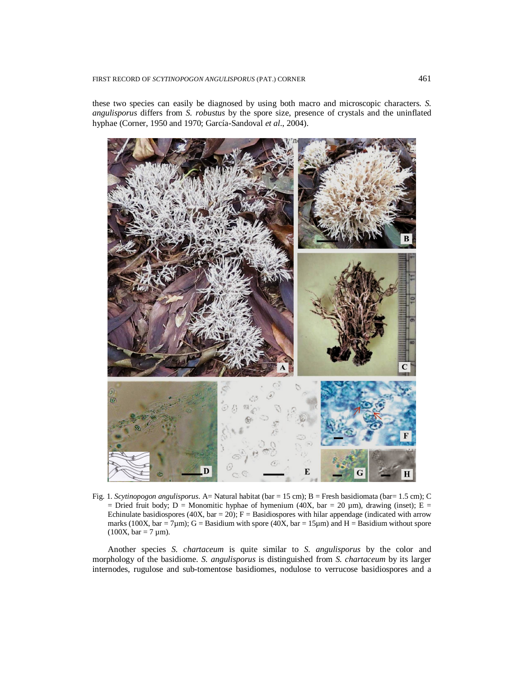these two species can easily be diagnosed by using both macro and microscopic characters. *S. angulisporus* differs from *S. robustus* by the spore size, presence of crystals and the uninflated hyphae (Corner, 1950 and 1970; García-Sandoval *et al*., 2004).



Fig. 1. *Scytinopogon angulisporus*. A= Natural habitat (bar = 15 cm); B = Fresh basidiomata (bar= 1.5 cm); C = Dried fruit body; D = Monomitic hyphae of hymenium (40X, bar = 20  $\mu$ m), drawing (inset); E = Echinulate basidiospores (40X, bar = 20);  $F =$  Basidiospores with hilar appendage (indicated with arrow marks (100X, bar = 7 $\mu$ m); G = Basidium with spore (40X, bar = 15 $\mu$ m) and H = Basidium without spore  $(100X, bar = 7 \mu m)$ .

Another species *S. chartaceum* is quite similar to *S. angulisporus* by the color and morphology of the basidiome. *S. angulisporus* is distinguished from *S. chartaceum* by its larger internodes, rugulose and sub-tomentose basidiomes, nodulose to verrucose basidiospores and a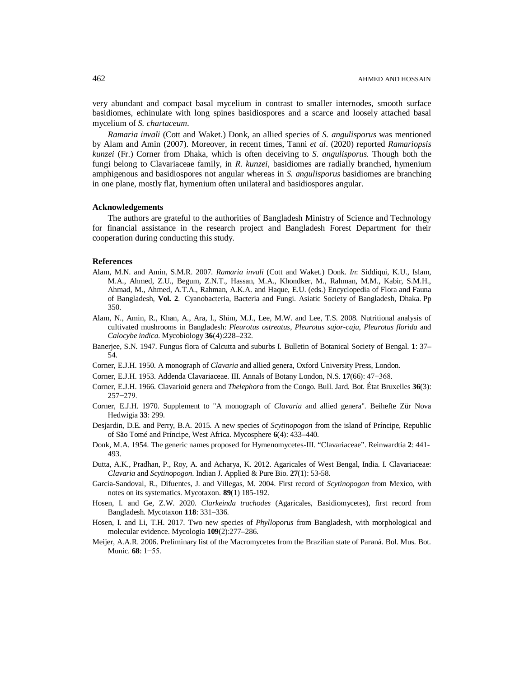very abundant and compact basal mycelium in contrast to smaller internodes, smooth surface basidiomes, echinulate with long spines basidiospores and a scarce and loosely attached basal mycelium of *S. chartaceum*.

*Ramaria invali* (Cott and Waket.) Donk, an allied species of *S. angulisporus* was mentioned by Alam and Amin (2007). Moreover, in recent times, Tanni *et al*. (2020) reported *Ramariopsis kunzei* (Fr.) Corner from Dhaka, which is often deceiving to *S. angulisporus.* Though both the fungi belong to Clavariaceae family, in *R. kunzei*, basidiomes are radially branched, hymenium amphigenous and basidiospores not angular whereas in *S. angulisporus* basidiomes are branching in one plane, mostly flat, hymenium often unilateral and basidiospores angular.

### **Acknowledgements**

The authors are grateful to the authorities of Bangladesh Ministry of Science and Technology for financial assistance in the research project and Bangladesh Forest Department for their cooperation during conducting this study.

#### **References**

- Alam, M.N. and Amin, S.M.R. 2007. *Ramaria invali* (Cott and Waket.) Donk. *In*: Siddiqui, K.U., Islam, M.A., Ahmed, Z.U., Begum, Z.N.T., Hassan, M.A., Khondker, M., Rahman, M.M., Kabir, S.M.H., Ahmad, M., Ahmed, A.T.A., Rahman, A.K.A. and Haque, E.U. (eds.) Encyclopedia of Flora and Fauna of Bangladesh, **Vol. 2**. Cyanobacteria, Bacteria and Fungi. Asiatic Society of Bangladesh, Dhaka. Pp 350.
- Alam, N., Amin, R., Khan, A., Ara, I., Shim, M.J., Lee, M.W. and Lee, T.S. 2008. Nutritional analysis of cultivated mushrooms in Bangladesh: *Pleurotus ostreatus*, *Pleurotus sajor-caju*, *Pleurotus florida* and *Calocybe indica*. Mycobiology **36**(4):228–232.
- Banerjee, S.N. 1947. Fungus flora of Calcutta and suburbs I. Bulletin of Botanical Society of Bengal. **1**: 37– 54.
- Corner, E.J.H. 1950. A monograph of *Clavaria* and allied genera, Oxford University Press, London.
- Corner, E.J.H. 1953. Addenda Clavariaceae. III. Annals of Botany London, N.S. **17**(66): 47−368.
- Corner, E.J.H. 1966. Clavarioid genera and *Thelephora* from the Congo. Bull. Jard. Bot. État Bruxelles **36**(3): 257−279.
- Corner, E.J.H. 1970. Supplement to "A monograph of *Clavaria* and allied genera". Beihefte Zür Nova Hedwigia **33**: 299.
- Desjardin, D.E. and Perry, B.A. 2015. A new species of *Scytinopogon* from the island of Príncipe, Republic of São Tomé and Príncipe, West Africa. Mycosphere **6**(4): 433–440.
- Donk, M.A. 1954. The generic names proposed for Hymenomycetes-III. "Clavariaceae". Reinwardtia **2**: 441- 493.
- Dutta, A.K., Pradhan, P., Roy, A. and Acharya, K. 2012. Agaricales of West Bengal, India. I. Clavariaceae: *Clavaria* and *Scytinopogon*. Indian J. Applied & Pure Bio. **27**(1): 53-58.
- Garcia-Sandoval, R., Difuentes, J. and Villegas, M. 2004. First record of *Scytinopogon* from Mexico, with notes on its systematics. Mycotaxon. **89**(1) 185-192.
- Hosen, I. and Ge, Z.W. 2020. *Clarkeinda trachodes* (Agaricales, Basidiomycetes), first record from Bangladesh. Mycotaxon **118**: 331–336.
- Hosen, I. and Li, T.H. 2017. Two new species of *Phylloporus* from Bangladesh, with morphological and molecular evidence. Mycologia **109**(2):277–286.
- Meijer, A.A.R. 2006. Preliminary list of the Macromycetes from the Brazilian state of Paraná. Bol. Mus. Bot. Munic. **68**: 1−55.